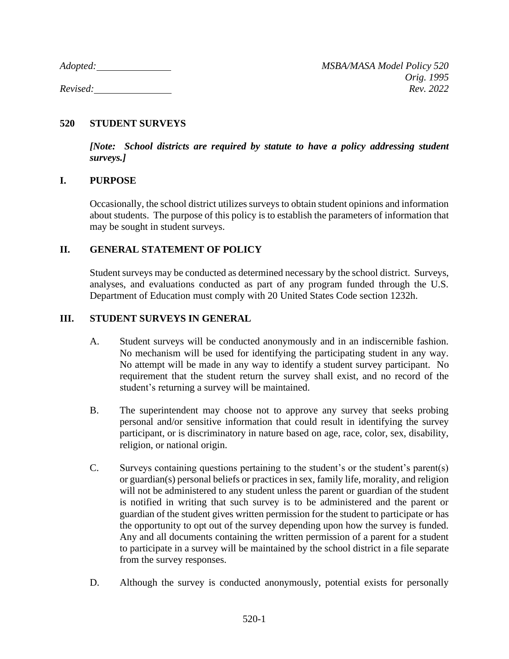## **520 STUDENT SURVEYS**

*[Note: School districts are required by statute to have a policy addressing student surveys.]*

### **I. PURPOSE**

Occasionally, the school district utilizes surveys to obtain student opinions and information about students. The purpose of this policy is to establish the parameters of information that may be sought in student surveys.

# **II. GENERAL STATEMENT OF POLICY**

Student surveys may be conducted as determined necessary by the school district. Surveys, analyses, and evaluations conducted as part of any program funded through the U.S. Department of Education must comply with 20 United States Code section 1232h.

### **III. STUDENT SURVEYS IN GENERAL**

- A. Student surveys will be conducted anonymously and in an indiscernible fashion. No mechanism will be used for identifying the participating student in any way. No attempt will be made in any way to identify a student survey participant. No requirement that the student return the survey shall exist, and no record of the student's returning a survey will be maintained.
- B. The superintendent may choose not to approve any survey that seeks probing personal and/or sensitive information that could result in identifying the survey participant, or is discriminatory in nature based on age, race, color, sex, disability, religion, or national origin.
- C. Surveys containing questions pertaining to the student's or the student's parent(s) or guardian(s) personal beliefs or practices in sex, family life, morality, and religion will not be administered to any student unless the parent or guardian of the student is notified in writing that such survey is to be administered and the parent or guardian of the student gives written permission for the student to participate or has the opportunity to opt out of the survey depending upon how the survey is funded. Any and all documents containing the written permission of a parent for a student to participate in a survey will be maintained by the school district in a file separate from the survey responses.
- D. Although the survey is conducted anonymously, potential exists for personally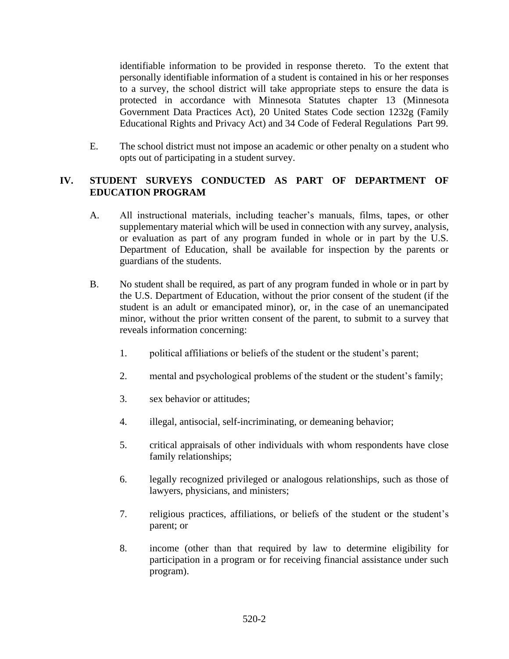identifiable information to be provided in response thereto. To the extent that personally identifiable information of a student is contained in his or her responses to a survey, the school district will take appropriate steps to ensure the data is protected in accordance with Minnesota Statutes chapter 13 (Minnesota Government Data Practices Act), 20 United States Code section 1232g (Family Educational Rights and Privacy Act) and 34 Code of Federal Regulations Part 99.

E. The school district must not impose an academic or other penalty on a student who opts out of participating in a student survey.

# **IV. STUDENT SURVEYS CONDUCTED AS PART OF DEPARTMENT OF EDUCATION PROGRAM**

- A. All instructional materials, including teacher's manuals, films, tapes, or other supplementary material which will be used in connection with any survey, analysis, or evaluation as part of any program funded in whole or in part by the U.S. Department of Education, shall be available for inspection by the parents or guardians of the students.
- B. No student shall be required, as part of any program funded in whole or in part by the U.S. Department of Education, without the prior consent of the student (if the student is an adult or emancipated minor), or, in the case of an unemancipated minor, without the prior written consent of the parent, to submit to a survey that reveals information concerning:
	- 1. political affiliations or beliefs of the student or the student's parent;
	- 2. mental and psychological problems of the student or the student's family;
	- 3. sex behavior or attitudes;
	- 4. illegal, antisocial, self-incriminating, or demeaning behavior;
	- 5. critical appraisals of other individuals with whom respondents have close family relationships;
	- 6. legally recognized privileged or analogous relationships, such as those of lawyers, physicians, and ministers;
	- 7. religious practices, affiliations, or beliefs of the student or the student's parent; or
	- 8. income (other than that required by law to determine eligibility for participation in a program or for receiving financial assistance under such program).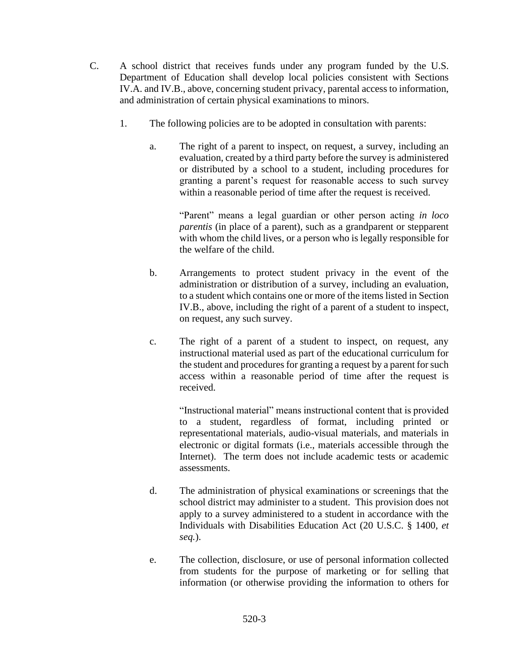- C. A school district that receives funds under any program funded by the U.S. Department of Education shall develop local policies consistent with Sections IV.A. and IV.B., above, concerning student privacy, parental access to information, and administration of certain physical examinations to minors.
	- 1. The following policies are to be adopted in consultation with parents:
		- a. The right of a parent to inspect, on request, a survey, including an evaluation, created by a third party before the survey is administered or distributed by a school to a student, including procedures for granting a parent's request for reasonable access to such survey within a reasonable period of time after the request is received.

"Parent" means a legal guardian or other person acting *in loco parentis* (in place of a parent), such as a grandparent or stepparent with whom the child lives, or a person who is legally responsible for the welfare of the child.

- b. Arrangements to protect student privacy in the event of the administration or distribution of a survey, including an evaluation, to a student which contains one or more of the items listed in Section IV.B., above, including the right of a parent of a student to inspect, on request, any such survey.
- c. The right of a parent of a student to inspect, on request, any instructional material used as part of the educational curriculum for the student and procedures for granting a request by a parent for such access within a reasonable period of time after the request is received.

"Instructional material" means instructional content that is provided to a student, regardless of format, including printed or representational materials, audio-visual materials, and materials in electronic or digital formats (i.e., materials accessible through the Internet). The term does not include academic tests or academic assessments.

- d. The administration of physical examinations or screenings that the school district may administer to a student. This provision does not apply to a survey administered to a student in accordance with the Individuals with Disabilities Education Act (20 U.S.C. § 1400, *et seq.*).
- e. The collection, disclosure, or use of personal information collected from students for the purpose of marketing or for selling that information (or otherwise providing the information to others for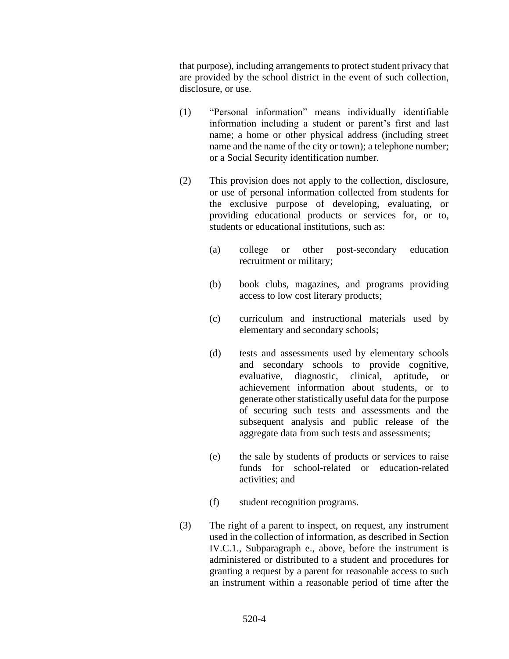that purpose), including arrangements to protect student privacy that are provided by the school district in the event of such collection, disclosure, or use.

- (1) "Personal information" means individually identifiable information including a student or parent's first and last name; a home or other physical address (including street name and the name of the city or town); a telephone number; or a Social Security identification number.
- (2) This provision does not apply to the collection, disclosure, or use of personal information collected from students for the exclusive purpose of developing, evaluating, or providing educational products or services for, or to, students or educational institutions, such as:
	- (a) college or other post-secondary education recruitment or military;
	- (b) book clubs, magazines, and programs providing access to low cost literary products;
	- (c) curriculum and instructional materials used by elementary and secondary schools;
	- (d) tests and assessments used by elementary schools and secondary schools to provide cognitive, evaluative, diagnostic, clinical, aptitude, or achievement information about students, or to generate other statistically useful data for the purpose of securing such tests and assessments and the subsequent analysis and public release of the aggregate data from such tests and assessments;
	- (e) the sale by students of products or services to raise funds for school-related or education-related activities; and
	- (f) student recognition programs.
- (3) The right of a parent to inspect, on request, any instrument used in the collection of information, as described in Section IV.C.1., Subparagraph e., above, before the instrument is administered or distributed to a student and procedures for granting a request by a parent for reasonable access to such an instrument within a reasonable period of time after the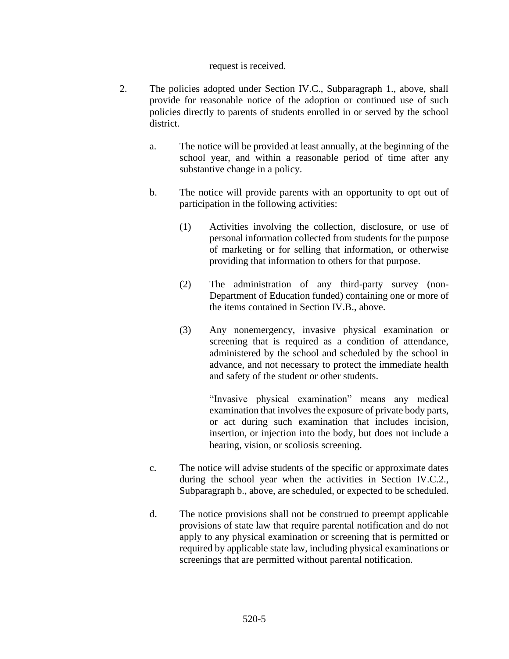#### request is received.

- 2. The policies adopted under Section IV.C., Subparagraph 1., above, shall provide for reasonable notice of the adoption or continued use of such policies directly to parents of students enrolled in or served by the school district.
	- a. The notice will be provided at least annually, at the beginning of the school year, and within a reasonable period of time after any substantive change in a policy.
	- b. The notice will provide parents with an opportunity to opt out of participation in the following activities:
		- (1) Activities involving the collection, disclosure, or use of personal information collected from students for the purpose of marketing or for selling that information, or otherwise providing that information to others for that purpose.
		- (2) The administration of any third-party survey (non-Department of Education funded) containing one or more of the items contained in Section IV.B., above.
		- (3) Any nonemergency, invasive physical examination or screening that is required as a condition of attendance, administered by the school and scheduled by the school in advance, and not necessary to protect the immediate health and safety of the student or other students.

"Invasive physical examination" means any medical examination that involves the exposure of private body parts, or act during such examination that includes incision, insertion, or injection into the body, but does not include a hearing, vision, or scoliosis screening.

- c. The notice will advise students of the specific or approximate dates during the school year when the activities in Section IV.C.2., Subparagraph b., above, are scheduled, or expected to be scheduled.
- d. The notice provisions shall not be construed to preempt applicable provisions of state law that require parental notification and do not apply to any physical examination or screening that is permitted or required by applicable state law, including physical examinations or screenings that are permitted without parental notification.